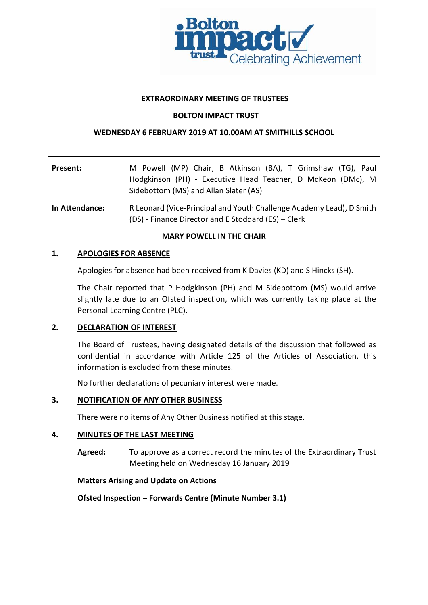

#### **EXTRAORDINARY MEETING OF TRUSTEES**

### **BOLTON IMPACT TRUST**

### **WEDNESDAY 6 FEBRUARY 2019 AT 10.00AM AT SMITHILLS SCHOOL**

| Present: | M Powell (MP) Chair, B Atkinson (BA), T Grimshaw (TG), Paul |
|----------|-------------------------------------------------------------|
|          | Hodgkinson (PH) - Executive Head Teacher, D McKeon (DMc), M |
|          | Sidebottom (MS) and Allan Slater (AS)                       |

**In Attendance:** R Leonard (Vice-Principal and Youth Challenge Academy Lead), D Smith (DS) - Finance Director and E Stoddard (ES) – Clerk

### **MARY POWELL IN THE CHAIR**

#### **1. APOLOGIES FOR ABSENCE**

Apologies for absence had been received from K Davies (KD) and S Hincks (SH).

The Chair reported that P Hodgkinson (PH) and M Sidebottom (MS) would arrive slightly late due to an Ofsted inspection, which was currently taking place at the Personal Learning Centre (PLC).

### **2. DECLARATION OF INTEREST**

The Board of Trustees, having designated details of the discussion that followed as confidential in accordance with Article 125 of the Articles of Association, this information is excluded from these minutes.

No further declarations of pecuniary interest were made.

### **3. NOTIFICATION OF ANY OTHER BUSINESS**

There were no items of Any Other Business notified at this stage.

### **4. MINUTES OF THE LAST MEETING**

**Agreed:** To approve as a correct record the minutes of the Extraordinary Trust Meeting held on Wednesday 16 January 2019

### **Matters Arising and Update on Actions**

**Ofsted Inspection – Forwards Centre (Minute Number 3.1)**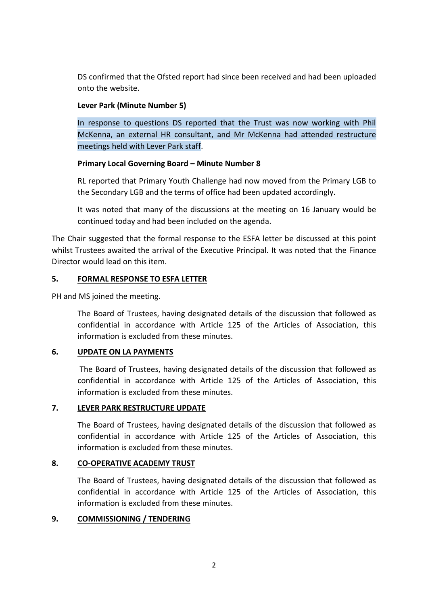DS confirmed that the Ofsted report had since been received and had been uploaded onto the website.

## **Lever Park (Minute Number 5)**

In response to questions DS reported that the Trust was now working with Phil McKenna, an external HR consultant, and Mr McKenna had attended restructure meetings held with Lever Park staff.

## **Primary Local Governing Board – Minute Number 8**

RL reported that Primary Youth Challenge had now moved from the Primary LGB to the Secondary LGB and the terms of office had been updated accordingly.

It was noted that many of the discussions at the meeting on 16 January would be continued today and had been included on the agenda.

The Chair suggested that the formal response to the ESFA letter be discussed at this point whilst Trustees awaited the arrival of the Executive Principal. It was noted that the Finance Director would lead on this item.

## **5. FORMAL RESPONSE TO ESFA LETTER**

PH and MS joined the meeting.

The Board of Trustees, having designated details of the discussion that followed as confidential in accordance with Article 125 of the Articles of Association, this information is excluded from these minutes.

# **6. UPDATE ON LA PAYMENTS**

The Board of Trustees, having designated details of the discussion that followed as confidential in accordance with Article 125 of the Articles of Association, this information is excluded from these minutes.

# **7. LEVER PARK RESTRUCTURE UPDATE**

The Board of Trustees, having designated details of the discussion that followed as confidential in accordance with Article 125 of the Articles of Association, this information is excluded from these minutes.

## **8. CO-OPERATIVE ACADEMY TRUST**

The Board of Trustees, having designated details of the discussion that followed as confidential in accordance with Article 125 of the Articles of Association, this information is excluded from these minutes.

## **9. COMMISSIONING / TENDERING**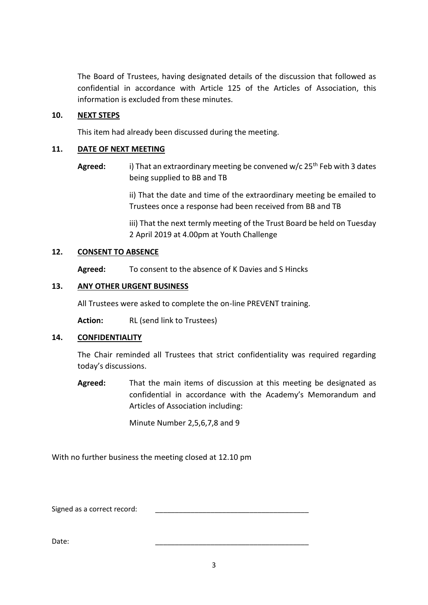The Board of Trustees, having designated details of the discussion that followed as confidential in accordance with Article 125 of the Articles of Association, this information is excluded from these minutes.

### **10. NEXT STEPS**

This item had already been discussed during the meeting.

### **11. DATE OF NEXT MEETING**

Agreed: i) That an extraordinary meeting be convened w/c 25<sup>th</sup> Feb with 3 dates being supplied to BB and TB

> ii) That the date and time of the extraordinary meeting be emailed to Trustees once a response had been received from BB and TB

> iii) That the next termly meeting of the Trust Board be held on Tuesday 2 April 2019 at 4.00pm at Youth Challenge

### **12. CONSENT TO ABSENCE**

**Agreed:** To consent to the absence of K Davies and S Hincks

### **13. ANY OTHER URGENT BUSINESS**

All Trustees were asked to complete the on-line PREVENT training.

Action: RL (send link to Trustees)

### **14. CONFIDENTIALITY**

The Chair reminded all Trustees that strict confidentiality was required regarding today's discussions.

**Agreed:** That the main items of discussion at this meeting be designated as confidential in accordance with the Academy's Memorandum and Articles of Association including:

Minute Number 2,5,6,7,8 and 9

With no further business the meeting closed at 12.10 pm

Signed as a correct record:

Date: \_\_\_\_\_\_\_\_\_\_\_\_\_\_\_\_\_\_\_\_\_\_\_\_\_\_\_\_\_\_\_\_\_\_\_\_\_\_\_